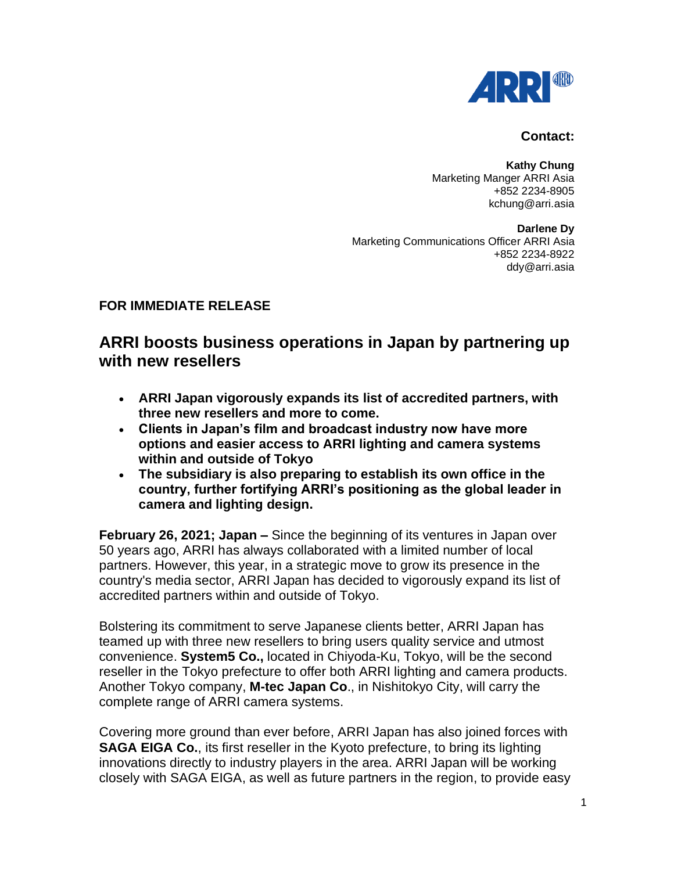

## **Contact:**

**Kathy Chung** Marketing Manger ARRI Asia +852 2234-8905 kchung@arri.asia

**Darlene Dy** Marketing Communications Officer ARRI Asia +852 2234-8922 ddy@arri.asia

## **FOR IMMEDIATE RELEASE**

## **ARRI boosts business operations in Japan by partnering up with new resellers**

- **ARRI Japan vigorously expands its list of accredited partners, with three new resellers and more to come.**
- **Clients in Japan's film and broadcast industry now have more options and easier access to ARRI lighting and camera systems within and outside of Tokyo**
- **The subsidiary is also preparing to establish its own office in the country, further fortifying ARRI's positioning as the global leader in camera and lighting design.**

**February 26, 2021; Japan –** Since the beginning of its ventures in Japan over 50 years ago, ARRI has always collaborated with a limited number of local partners. However, this year, in a strategic move to grow its presence in the country's media sector, ARRI Japan has decided to vigorously expand its list of accredited partners within and outside of Tokyo.

Bolstering its commitment to serve Japanese clients better, ARRI Japan has teamed up with three new resellers to bring users quality service and utmost convenience. **System5 Co.,** located in Chiyoda-Ku, Tokyo, will be the second reseller in the Tokyo prefecture to offer both ARRI lighting and camera products. Another Tokyo company, **M-tec Japan Co**., in Nishitokyo City, will carry the complete range of ARRI camera systems.

Covering more ground than ever before, ARRI Japan has also joined forces with **SAGA EIGA Co.**, its first reseller in the Kyoto prefecture, to bring its lighting innovations directly to industry players in the area. ARRI Japan will be working closely with SAGA EIGA, as well as future partners in the region, to provide easy